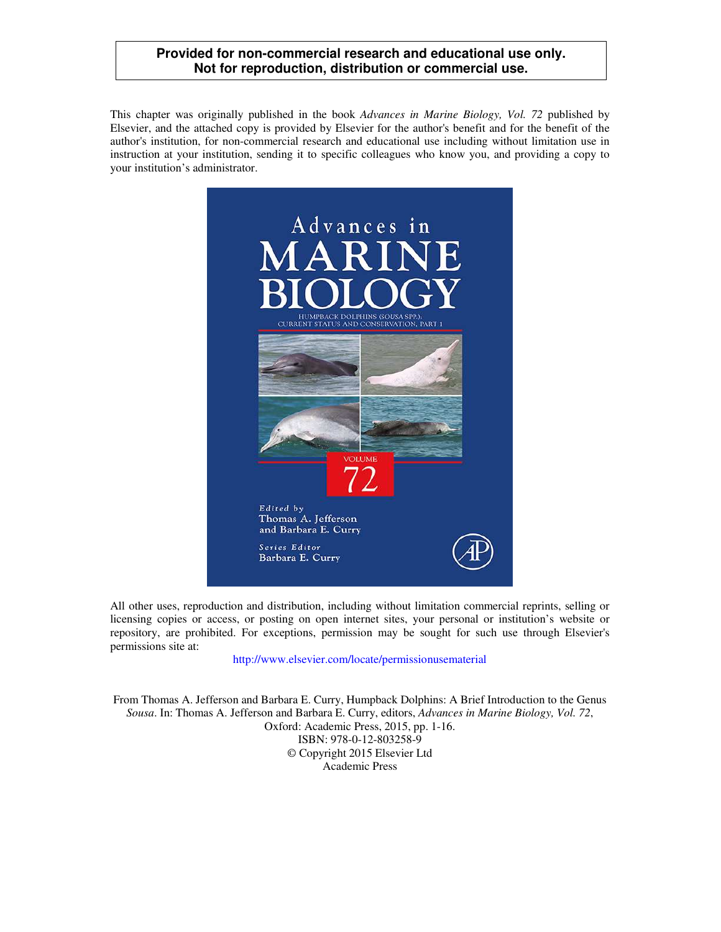#### **Provided for non-commercial research and educational use only. Not for reproduction, distribution or commercial use.**

This chapter was originally published in the book *Advances in Marine Biology, Vol. 72* published by Elsevier, and the attached copy is provided by Elsevier for the author's benefit and for the benefit of the author's institution, for non-commercial research and educational use including without limitation use in instruction at your institution, sending it to specific colleagues who know you, and providing a copy to your institution's administrator.



All other uses, reproduction and distribution, including without limitation commercial reprints, selling or licensing copies or access, or posting on open internet sites, your personal or institution's website or repository, are prohibited. For exceptions, permission may be sought for such use through Elsevier's permissions site at:

http://www.elsevier.com/locate/permissionusematerial

From Thomas A. Jefferson and Barbara E. Curry, Humpback Dolphins: A Brief Introduction to the Genus *Sousa*. In: Thomas A. Jefferson and Barbara E. Curry, editors, *Advances in Marine Biology, Vol. 72*, Oxford: Academic Press, 2015, pp. 1-16. ISBN: 978-0-12-803258-9 © Copyright 2015 Elsevier Ltd Academic Press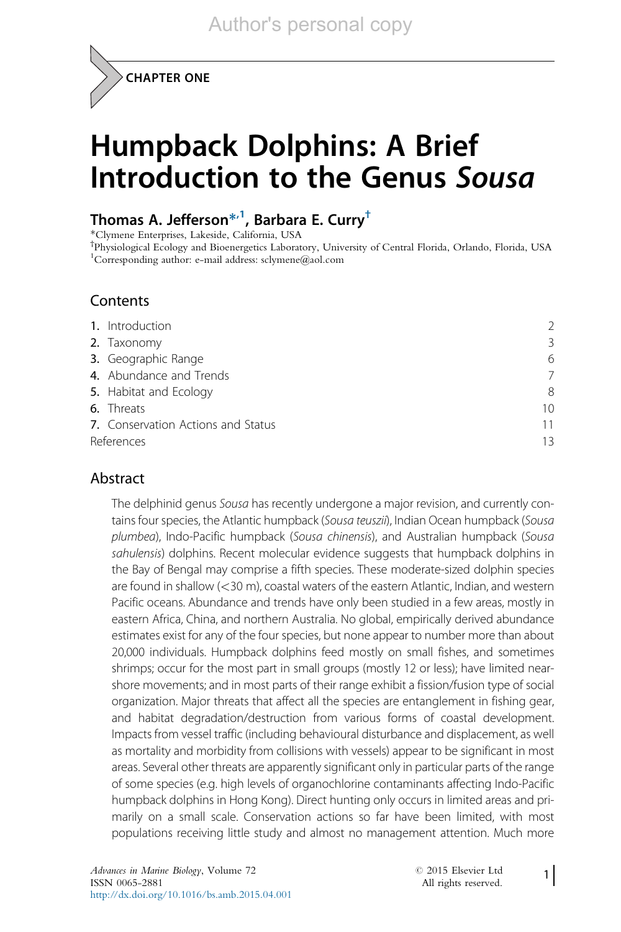CHAPTER ONE

# Humpback Dolphins: A Brief Introduction to the Genus Sousa

### Thomas A. Jefferson<sup>\*,1</sup>, Barbara E. Curry<sup>†</sup>

\*Clymene Enterprises, Lakeside, California, USA

† Physiological Ecology and Bioenergetics Laboratory, University of Central Florida, Orlando, Florida, USA <sup>1</sup>Corresponding author: e-mail address: sclymene@aol.com

#### **Contents**

|            | 1. Introduction                    | $\mathcal{P}$ |
|------------|------------------------------------|---------------|
|            | 2. Taxonomy                        | 3             |
|            | 3. Geographic Range                | 6             |
|            | 4. Abundance and Trends            | 7             |
|            | 5. Habitat and Ecology             | 8             |
|            | 6. Threats                         | 10            |
|            | 7. Conservation Actions and Status | 11            |
| References |                                    | 13            |

#### **Abstract**

The delphinid genus Sousa has recently undergone a major revision, and currently contains four species, the Atlantic humpback (Sousa teuszii), Indian Ocean humpback (Sousa plumbea), Indo-Pacific humpback (Sousa chinensis), and Australian humpback (Sousa sahulensis) dolphins. Recent molecular evidence suggests that humpback dolphins in the Bay of Bengal may comprise a fifth species. These moderate-sized dolphin species are found in shallow (<30 m), coastal waters of the eastern Atlantic, Indian, and western Pacific oceans. Abundance and trends have only been studied in a few areas, mostly in eastern Africa, China, and northern Australia. No global, empirically derived abundance estimates exist for any of the four species, but none appear to number more than about 20,000 individuals. Humpback dolphins feed mostly on small fishes, and sometimes shrimps; occur for the most part in small groups (mostly 12 or less); have limited nearshore movements; and in most parts of their range exhibit a fission/fusion type of social organization. Major threats that affect all the species are entanglement in fishing gear, and habitat degradation/destruction from various forms of coastal development. Impacts from vessel traffic (including behavioural disturbance and displacement, as well as mortality and morbidity from collisions with vessels) appear to be significant in most areas. Several other threats are apparently significant only in particular parts of the range of some species (e.g. high levels of organochlorine contaminants affecting Indo-Pacific humpback dolphins in Hong Kong). Direct hunting only occurs in limited areas and primarily on a small scale. Conservation actions so far have been limited, with most populations receiving little study and almost no management attention. Much more

1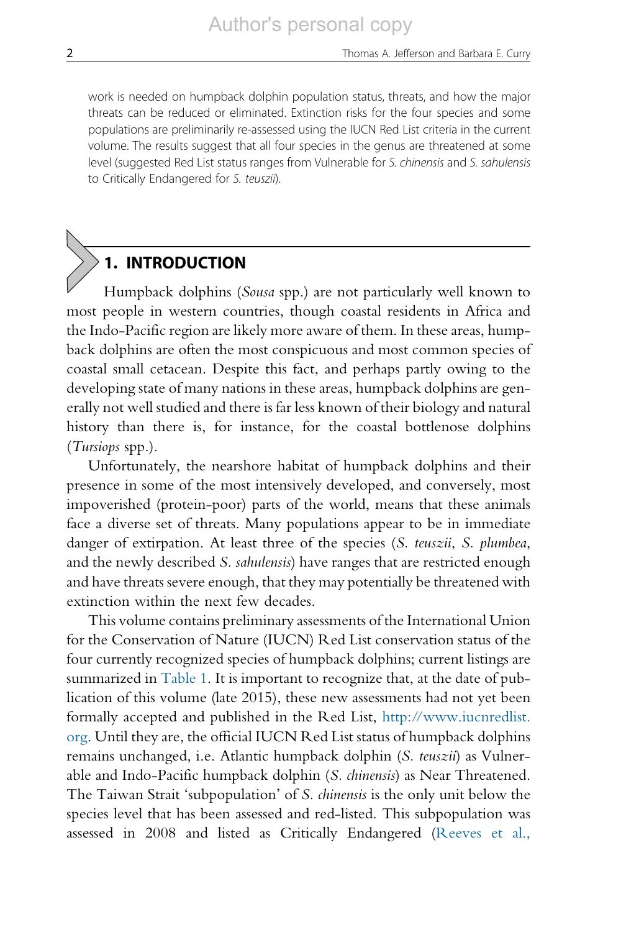work is needed on humpback dolphin population status, threats, and how the major threats can be reduced or eliminated. Extinction risks for the four species and some populations are preliminarily re-assessed using the IUCN Red List criteria in the current volume. The results suggest that all four species in the genus are threatened at some level (suggested Red List status ranges from Vulnerable for S. chinensis and S. sahulensis to Critically Endangered for S. teuszii).

# 1. INTRODUCTION

Humpback dolphins (Sousa spp.) are not particularly well known to most people in western countries, though coastal residents in Africa and the Indo-Pacific region are likely more aware of them. In these areas, humpback dolphins are often the most conspicuous and most common species of coastal small cetacean. Despite this fact, and perhaps partly owing to the developing state of many nations in these areas, humpback dolphins are generally not well studied and there is far less known of their biology and natural history than there is, for instance, for the coastal bottlenose dolphins (Tursiops spp.).

Unfortunately, the nearshore habitat of humpback dolphins and their presence in some of the most intensively developed, and conversely, most impoverished (protein-poor) parts of the world, means that these animals face a diverse set of threats. Many populations appear to be in immediate danger of extirpation. At least three of the species (S. teuszii, S. plumbea, and the newly described S. sahulensis) have ranges that are restricted enough and have threats severe enough, that they may potentially be threatened with extinction within the next few decades.

This volume contains preliminary assessments of the International Union for the Conservation of Nature (IUCN) Red List conservation status of the four currently recognized species of humpback dolphins; current listings are summarized in [Table 1](#page-3-0). It is important to recognize that, at the date of publication of this volume (late 2015), these new assessments had not yet been formally accepted and published in the Red List, [http://www.iucnredlist.](http://www.iucnredlist.org) [org.](http://www.iucnredlist.org) Until they are, the official IUCN Red List status of humpback dolphins remains unchanged, i.e. Atlantic humpback dolphin (S. teuszii) as Vulnerable and Indo-Pacific humpback dolphin (S. chinensis) as Near Threatened. The Taiwan Strait 'subpopulation' of S. chinensis is the only unit below the species level that has been assessed and red-listed. This subpopulation was assessed in 2008 and listed as Critically Endangered [\(Reeves et al.,](#page-16-0)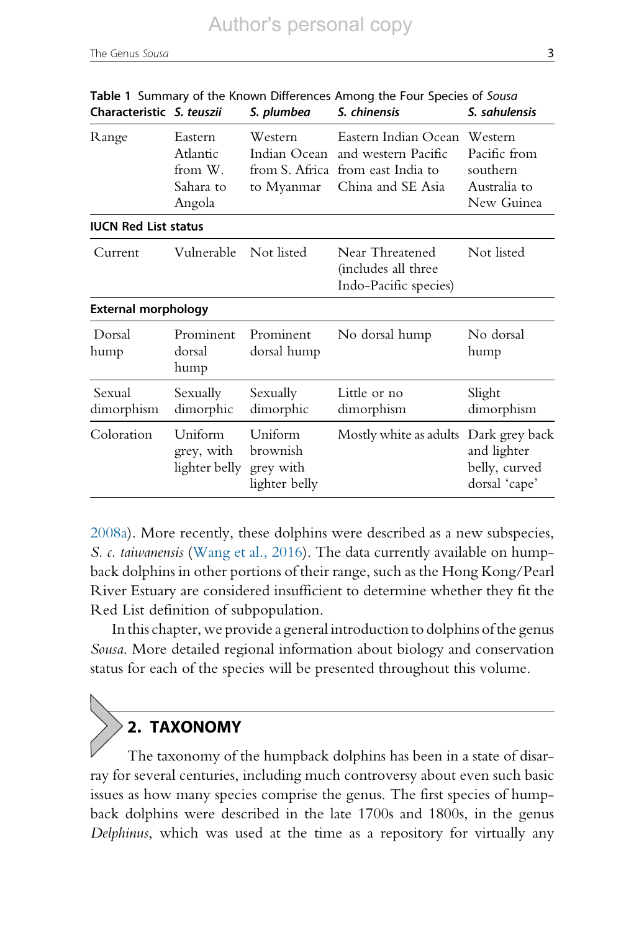| Characteristic S. teuszii   |                                                                                             | S. plumbea                                              | S. chinensis                                                                           | S. sahulensis                                                     |
|-----------------------------|---------------------------------------------------------------------------------------------|---------------------------------------------------------|----------------------------------------------------------------------------------------|-------------------------------------------------------------------|
| Range                       | Eastern<br>Atlantic<br>from W.<br>Sahara to<br>Angola                                       | Western<br>Indian Ocean<br>from S. Africa<br>to Myanmar | Eastern Indian Ocean<br>and western Pacific<br>from east India to<br>China and SE Asia | Western<br>Pacific from<br>southern<br>Australia to<br>New Guinea |
| <b>IUCN Red List status</b> |                                                                                             |                                                         |                                                                                        |                                                                   |
| Vulnerable<br>Current       |                                                                                             | Not listed                                              | Near Threatened<br>(includes all three<br>Indo-Pacific species)                        | Not listed                                                        |
| External morphology         |                                                                                             |                                                         |                                                                                        |                                                                   |
| Dorsal<br>hump              | Prominent<br>dorsal<br>hump                                                                 | Prominent<br>dorsal hump                                | No dorsal hump                                                                         | No dorsal<br>hump                                                 |
| Sexual<br>dimorphism        | Sexually<br>dimorphic                                                                       | Sexually<br>dimorphic                                   | Little or no<br>dimorphism                                                             | Slight<br>dimorphism                                              |
| Coloration                  | Uniform<br>Uniform<br>brownish<br>grey, with<br>lighter belly<br>grey with<br>lighter belly |                                                         | Mostly white as adults                                                                 | Dark grey back<br>and lighter<br>belly, curved<br>dorsal 'cape'   |

<span id="page-3-0"></span>

| Table 1 Summary of the Known Differences Among the Four Species of Sousa |            |              |               |
|--------------------------------------------------------------------------|------------|--------------|---------------|
| Characteristic S. teuszii                                                | S. plumbea | S. chinensis | S. sahulensis |

[2008a\)](#page-16-0). More recently, these dolphins were described as a new subspecies, S. c. taiwanensis ([Wang et al., 2016](#page-16-0)). The data currently available on humpback dolphins in other portions of their range, such as the Hong Kong/Pearl River Estuary are considered insufficient to determine whether they fit the Red List definition of subpopulation.

In this chapter, we provide a general introduction to dolphins of the genus Sousa. More detailed regional information about biology and conservation status for each of the species will be presented throughout this volume.

# 2. TAXONOMY

The taxonomy of the humpback dolphins has been in a state of disarray for several centuries, including much controversy about even such basic issues as how many species comprise the genus. The first species of humpback dolphins were described in the late 1700s and 1800s, in the genus Delphinus, which was used at the time as a repository for virtually any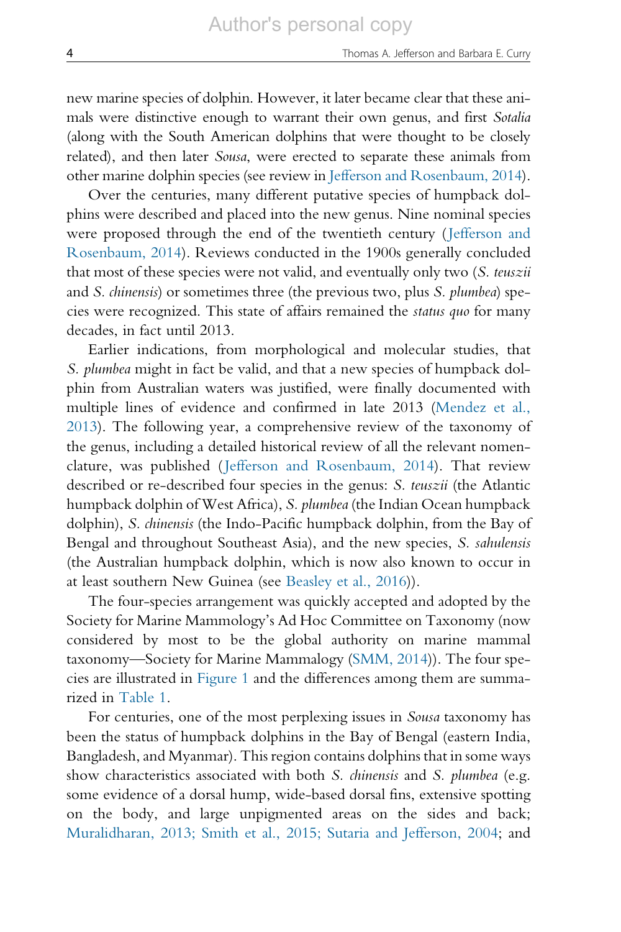new marine species of dolphin. However, it later became clear that these animals were distinctive enough to warrant their own genus, and first *Sotalia* (along with the South American dolphins that were thought to be closely related), and then later Sousa, were erected to separate these animals from other marine dolphin species (see review in [Jefferson and Rosenbaum, 2014](#page-14-0)).

Over the centuries, many different putative species of humpback dolphins were described and placed into the new genus. Nine nominal species were proposed through the end of the twentieth century ([Jefferson and](#page-14-0) [Rosenbaum,](#page-14-0) 2014). Reviews conducted in the 1900s generally concluded that most of these species were not valid, and eventually only two (S. teuszii and S. chinensis) or sometimes three (the previous two, plus S. plumbea) species were recognized. This state of affairs remained the status quo for many decades, in fact until 2013.

Earlier indications, from morphological and molecular studies, that S. plumbea might in fact be valid, and that a new species of humpback dolphin from Australian waters was justified, were finally documented with multiple lines of evidence and confirmed in late 2013 ([Mendez et al.,](#page-15-0) [2013\)](#page-15-0). The following year, a comprehensive review of the taxonomy of the genus, including a detailed historical review of all the relevant nomenclature, was published ([Jefferson and Rosenbaum, 2014](#page-14-0)). That review described or re-described four species in the genus: S. teuszii (the Atlantic humpback dolphin of West Africa), S. plumbea (the Indian Ocean humpback dolphin), S. chinensis (the Indo-Pacific humpback dolphin, from the Bay of Bengal and throughout Southeast Asia), and the new species, S. sahulensis (the Australian humpback dolphin, which is now also known to occur in at least southern New Guinea (see [Beasley et al., 2016\)](#page-13-0)).

The four-species arrangement was quickly accepted and adopted by the Society for Marine Mammology's Ad Hoc Committee on Taxonomy (now considered by most to be the global authority on marine mammal taxonomy—Society for Marine Mammalogy [\(SMM, 2014\)](#page-16-0)). The four species are illustrated in [Figure 1](#page-5-0) and the differences among them are summarized in [Table 1.](#page-3-0)

For centuries, one of the most perplexing issues in Sousa taxonomy has been the status of humpback dolphins in the Bay of Bengal (eastern India, Bangladesh, and Myanmar). This region contains dolphins that in some ways show characteristics associated with both S. chinensis and S. plumbea (e.g. some evidence of a dorsal hump, wide-based dorsal fins, extensive spotting on the body, and large unpigmented areas on the sides and back; [Muralidharan, 2013; Smith et al., 2015; Sutaria and Jefferson, 2004;](#page-15-0) and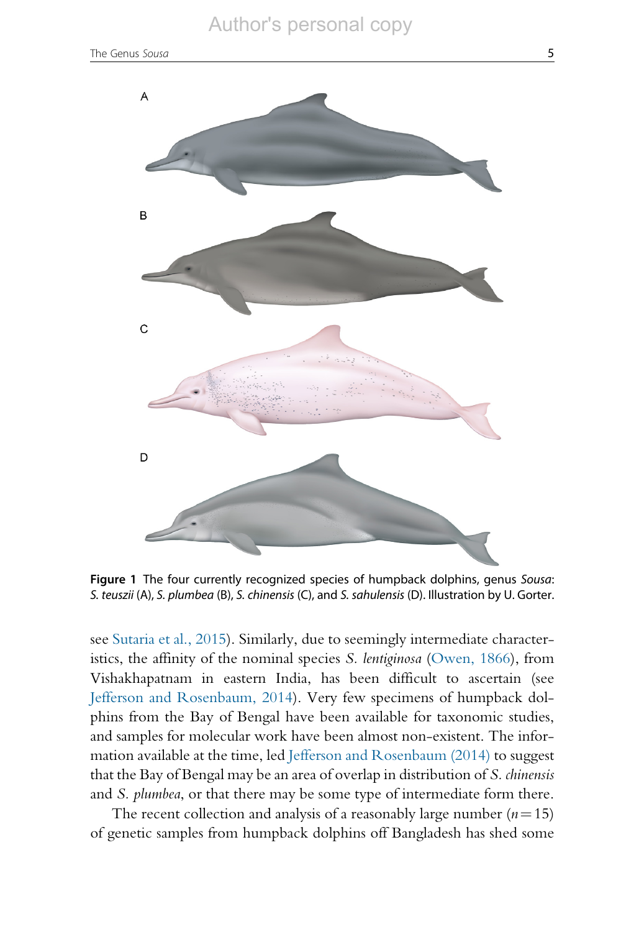#### Author's personal copy

<span id="page-5-0"></span>

Figure 1 The four currently recognized species of humpback dolphins, genus Sousa: S. teuszii (A), S. plumbea (B), S. chinensis (C), and S. sahulensis (D). Illustration by U. Gorter.

see [Sutaria et al., 2015](#page-16-0)). Similarly, due to seemingly intermediate characteristics, the affinity of the nominal species S. lentiginosa ([Owen, 1866](#page-15-0)), from Vishakhapatnam in eastern India, has been difficult to ascertain (see [Jefferson and Rosenbaum, 2014\)](#page-14-0). Very few specimens of humpback dolphins from the Bay of Bengal have been available for taxonomic studies, and samples for molecular work have been almost non-existent. The information available at the time, led [Jefferson and Rosenbaum \(2014\)](#page-14-0) to suggest that the Bay of Bengal may be an area of overlap in distribution of S. chinensis and S. plumbea, or that there may be some type of intermediate form there.

The recent collection and analysis of a reasonably large number  $(n=15)$ of genetic samples from humpback dolphins off Bangladesh has shed some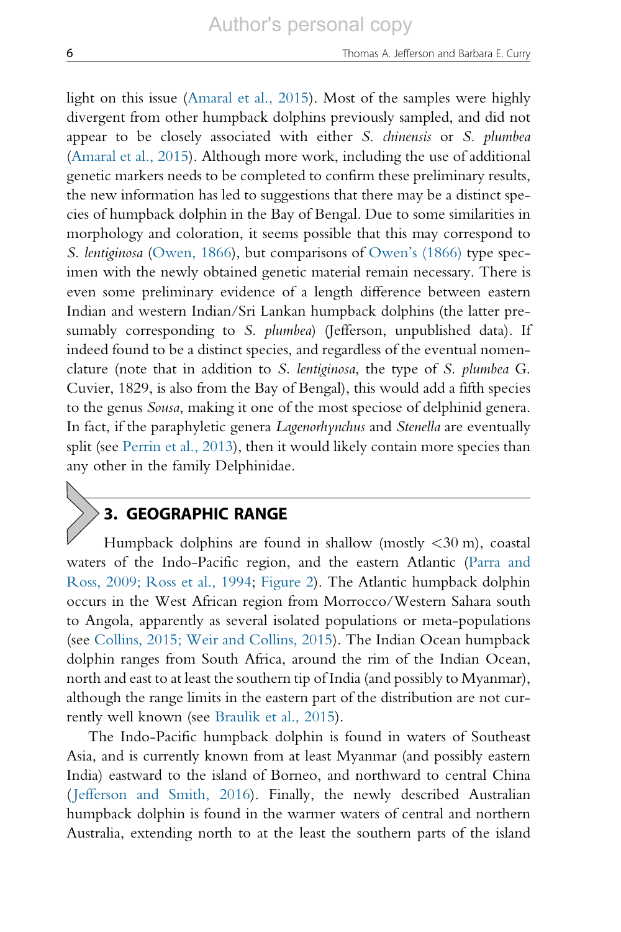light on this issue ([Amaral et al., 2015\)](#page-13-0). Most of the samples were highly divergent from other humpback dolphins previously sampled, and did not appear to be closely associated with either S. chinensis or S. plumbea ([Amaral et al., 2015](#page-13-0)). Although more work, including the use of additional genetic markers needs to be completed to confirm these preliminary results, the new information has led to suggestions that there may be a distinct species of humpback dolphin in the Bay of Bengal. Due to some similarities in morphology and coloration, it seems possible that this may correspond to S. lentiginosa ([Owen, 1866](#page-15-0)), but comparisons of [Owen's \(1866\)](#page-15-0) type specimen with the newly obtained genetic material remain necessary. There is even some preliminary evidence of a length difference between eastern Indian and western Indian/Sri Lankan humpback dolphins (the latter presumably corresponding to S. plumbea) (Jefferson, unpublished data). If indeed found to be a distinct species, and regardless of the eventual nomenclature (note that in addition to S. lentiginosa, the type of S. plumbea G. Cuvier, 1829, is also from the Bay of Bengal), this would add a fifth species to the genus Sousa, making it one of the most speciose of delphinid genera. In fact, if the paraphyletic genera Lagenorhynchus and Stenella are eventually split (see [Perrin et al., 2013](#page-15-0)), then it would likely contain more species than any other in the family Delphinidae.

### 3. GEOGRAPHIC RANGE

Humpback dolphins are found in shallow (mostly  $\langle 30 \text{ m} \rangle$ , coastal waters of the Indo-Pacific region, and the eastern Atlantic ([Parra and](#page-15-0) Ross, [2009; Ross et al., 1994](#page-15-0); [Figure 2](#page-7-0)). The Atlantic humpback dolphin occurs in the West African region from Morrocco/Western Sahara south to Angola, apparently as several isolated populations or meta-populations (see [Collins, 2015; Weir and Collins, 2015](#page-14-0)). The Indian Ocean humpback dolphin ranges from South Africa, around the rim of the Indian Ocean, north and east to at least the southern tip of India (and possibly to Myanmar), although the range limits in the eastern part of the distribution are not currently well known (see [Braulik et al., 2015](#page-13-0)).

The Indo-Pacific humpback dolphin is found in waters of Southeast Asia, and is currently known from at least Myanmar (and possibly eastern India) eastward to the island of Borneo, and northward to central China ([Jefferson and Smith, 2016](#page-14-0)). Finally, the newly described Australian humpback dolphin is found in the warmer waters of central and northern Australia, extending north to at the least the southern parts of the island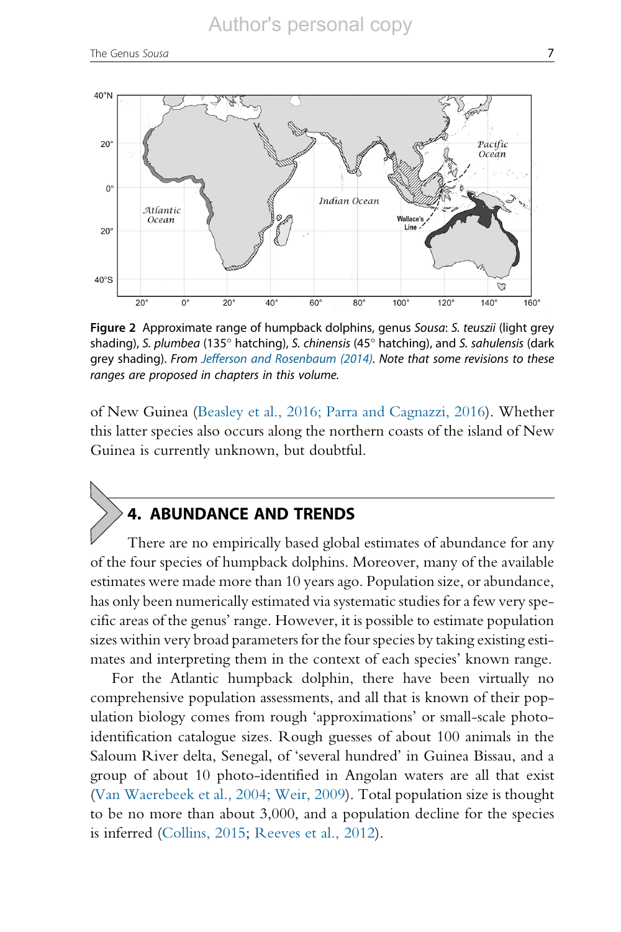<span id="page-7-0"></span>

Figure 2 Approximate range of humpback dolphins, genus Sousa: S. teuszii (light grey shading), S. plumbea (135 $^{\circ}$  hatching), S. chinensis (45 $^{\circ}$  hatching), and S. sahulensis (dark grey shading). From [Jefferson and Rosenbaum \(2014\)](#page-14-0). Note that some revisions to these ranges are proposed in chapters in this volume.

of New Guinea [\(Beasley et al., 2016; Parra and Cagnazzi, 2016](#page-13-0)). Whether this latter species also occurs along the northern coasts of the island of New Guinea is currently unknown, but doubtful.

### 4. ABUNDANCE AND TRENDS

There are no empirically based global estimates of abundance for any of the four species of humpback dolphins. Moreover, many of the available estimates were made more than 10 years ago. Population size, or abundance, has only been numerically estimated via systematic studies for a few very specific areas of the genus' range. However, it is possible to estimate population sizes within very broad parameters for the four species by taking existing estimates and interpreting them in the context of each species' known range.

For the Atlantic humpback dolphin, there have been virtually no comprehensive population assessments, and all that is known of their population biology comes from rough 'approximations' or small-scale photoidentification catalogue sizes. Rough guesses of about 100 animals in the Saloum River delta, Senegal, of 'several hundred' in Guinea Bissau, and a group of about 10 photo-identified in Angolan waters are all that exist [\(Van Waerebeek et al., 2004; Weir, 2009](#page-16-0)). Total population size is thought to be no more than about 3,000, and a population decline for the species is inferred ([Collins, 2015](#page-14-0); [Reeves et al., 2012\)](#page-16-0).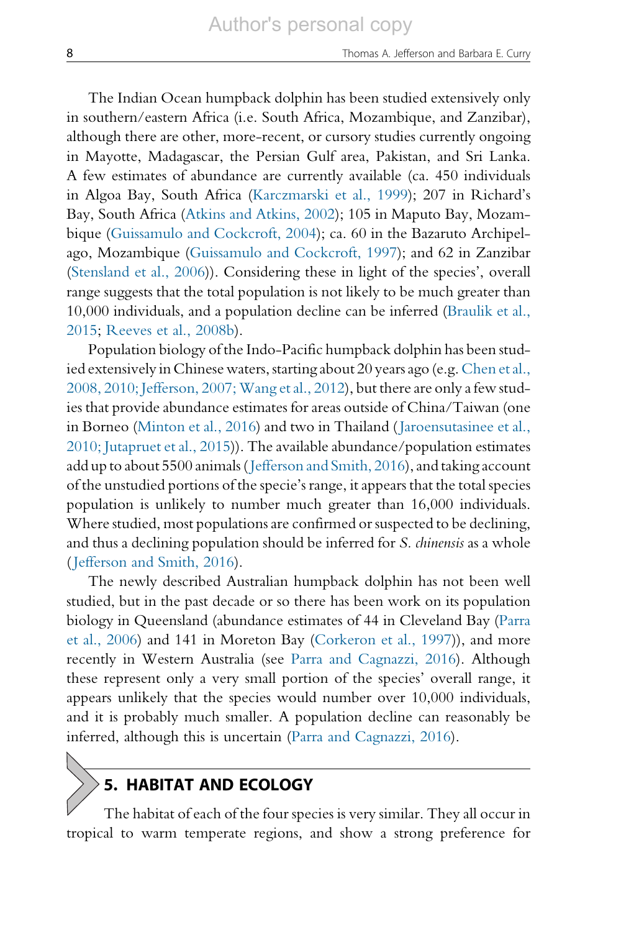The Indian Ocean humpback dolphin has been studied extensively only in southern/eastern Africa (i.e. South Africa, Mozambique, and Zanzibar), although there are other, more-recent, or cursory studies currently ongoing in Mayotte, Madagascar, the Persian Gulf area, Pakistan, and Sri Lanka. A few estimates of abundance are currently available (ca. 450 individuals in Algoa Bay, South Africa ([Karczmarski et al., 1999\)](#page-15-0); 207 in Richard's Bay, South Africa ([Atkins and Atkins, 2002](#page-13-0)); 105 in Maputo Bay, Mozambique ([Guissamulo and Cockcroft, 2004](#page-14-0)); ca. 60 in the Bazaruto Archipelago, Mozambique ([Guissamulo and Cockcroft, 1997](#page-14-0)); and 62 in Zanzibar ([Stensland et al., 2006\)](#page-16-0)). Considering these in light of the species', overall range suggests that the total population is not likely to be much greater than 10,000 individuals, and a population decline can be inferred [\(Braulik et al.,](#page-13-0) [2015;](#page-13-0) [Reeves et al., 2008b\)](#page-16-0).

Population biology of the Indo-Pacific humpback dolphin has been studied extensively in Chinese waters, starting about 20 years ago (e.g. [Chen et al.,](#page-14-0) 2008, 2010; Jefferson, 2007; Wang et al., 2012), but there are only a few studies that provide abundance estimates for areas outside of China/Taiwan (one in Borneo ([Minton et al., 2016](#page-15-0)) and two in Thailand ([Jaroensutasinee et al.,](#page-14-0) 2010; [Jutapruet et al., 2015](#page-14-0))). The available abundance/population estimates add up to about 5500 animals ([Jefferson and Smith, 2016\)](#page-14-0), and taking account of the unstudied portions of the specie's range, it appears that the total species population is unlikely to number much greater than 16,000 individuals. Where studied, most populations are confirmed or suspected to be declining, and thus a declining population should be inferred for S. chinensis as a whole ([Jefferson and Smith, 2016\)](#page-14-0).

The newly described Australian humpback dolphin has not been well studied, but in the past decade or so there has been work on its population biology in Queensland (abundance estimates of 44 in Cleveland Bay ([Parra](#page-15-0) et [al., 2006\)](#page-15-0) and 141 in Moreton Bay ([Corkeron et al., 1997](#page-14-0))), and more recently in Western Australia (see [Parra and Cagnazzi, 2016](#page-15-0)). Although these represent only a very small portion of the species' overall range, it appears unlikely that the species would number over 10,000 individuals, and it is probably much smaller. A population decline can reasonably be inferred, although this is uncertain ([Parra and Cagnazzi, 2016\)](#page-15-0).

### 5. HABITAT AND ECOLOGY

The habitat of each of the four species is very similar. They all occur in tropical to warm temperate regions, and show a strong preference for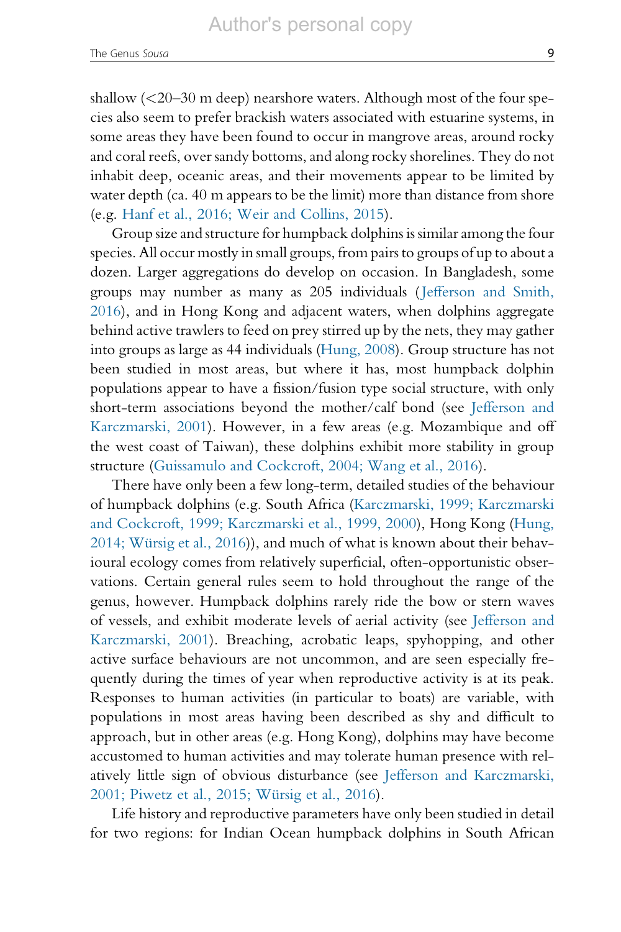shallow (<20–30 m deep) nearshore waters. Although most of the four species also seem to prefer brackish waters associated with estuarine systems, in some areas they have been found to occur in mangrove areas, around rocky and coral reefs, over sandy bottoms, and along rocky shorelines. They do not inhabit deep, oceanic areas, and their movements appear to be limited by water depth (ca. 40 m appears to be the limit) more than distance from shore (e.g. [Hanf et al., 2016; Weir and Collins, 2015](#page-14-0)).

Group size and structure for humpback dolphins is similar among the four species. All occur mostly in small groups, from pairs to groups of up to about a dozen. Larger aggregations do develop on occasion. In Bangladesh, some groups may number as many as 205 individuals ( [Jefferson and Smith,](#page-14-0) [2016](#page-14-0)), and in Hong Kong and adjacent waters, when dolphins aggregate behind active trawlers to feed on prey stirred up by the nets, they may gather into groups as large as 44 individuals ([Hung, 2008\)](#page-14-0). Group structure has not been studied in most areas, but where it has, most humpback dolphin populations appear to have a fission/fusion type social structure, with only short-term associations beyond the mother/calf bond (see [Jefferson and](#page-14-0) [Karczmarski,](#page-14-0) 2001). However, in a few areas (e.g. Mozambique and off the west coast of Taiwan), these dolphins exhibit more stability in group structure ([Guissamulo and Cockcroft, 2004; Wang et al., 2016\)](#page-14-0).

There have only been a few long-term, detailed studies of the behaviour of humpback dolphins (e.g. South Africa [\(Karczmarski, 1999; Karczmarski](#page-15-0) and [Cockcroft, 1999; Karczmarski et al., 1999, 2000\)](#page-15-0), Hong Kong ([Hung,](#page-14-0) 2014; Würsig et al., 2016)), and much of what is known about their behavioural ecology comes from relatively superficial, often-opportunistic observations. Certain general rules seem to hold throughout the range of the genus, however. Humpback dolphins rarely ride the bow or stern waves of vessels, and exhibit moderate levels of aerial activity (see [Jefferson and](#page-14-0) [Karczmarski,](#page-14-0) 2001). Breaching, acrobatic leaps, spyhopping, and other active surface behaviours are not uncommon, and are seen especially frequently during the times of year when reproductive activity is at its peak. Responses to human activities (in particular to boats) are variable, with populations in most areas having been described as shy and difficult to approach, but in other areas (e.g. Hong Kong), dolphins may have become accustomed to human activities and may tolerate human presence with relatively little sign of obvious disturbance (see [Jefferson and Karczmarski,](#page-14-0) 2001; Piwetz et al., 2015; Würsig et al., 2016).

Life history and reproductive parameters have only been studied in detail for two regions: for Indian Ocean humpback dolphins in South African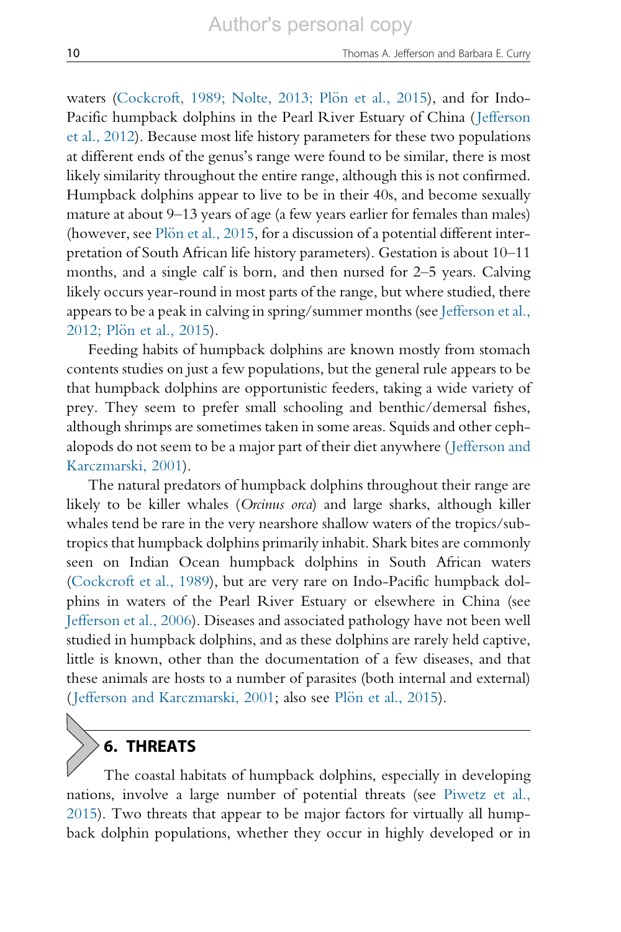waters (Cockcroft, 1989; Nolte, 2013; Plön [et al., 2015](#page-14-0)), and for Indo-Pacific humpback dolphins in the Pearl River Estuary of China ([Jefferson](#page-14-0) et [al., 2012\)](#page-14-0). Because most life history parameters for these two populations at different ends of the genus's range were found to be similar, there is most likely similarity throughout the entire range, although this is not confirmed. Humpback dolphins appear to live to be in their 40s, and become sexually mature at about 9–13 years of age (a few years earlier for females than males) (however, see Plön [et al., 2015,](#page-15-0) for a discussion of a potential different interpretation of South African life history parameters). Gestation is about 10–11 months, and a single calf is born, and then nursed for 2–5 years. Calving likely occurs year-round in most parts of the range, but where studied, there appears to be a peak in calving in spring/summer months (see [Jefferson et al.,](#page-14-0) [2012;](#page-14-0) Plön et al., 2015).

Feeding habits of humpback dolphins are known mostly from stomach contents studies on just a few populations, but the general rule appears to be that humpback dolphins are opportunistic feeders, taking a wide variety of prey. They seem to prefer small schooling and benthic/demersal fishes, although shrimps are sometimes taken in some areas. Squids and other cephalopods do not seem to be a major part of their diet anywhere ( [Jefferson and](#page-14-0) [Karczmarski,](#page-14-0) 2001).

The natural predators of humpback dolphins throughout their range are likely to be killer whales (Orcinus orca) and large sharks, although killer whales tend be rare in the very nearshore shallow waters of the tropics/subtropics that humpback dolphins primarily inhabit. Shark bites are commonly seen on Indian Ocean humpback dolphins in South African waters ([Cockcroft et al., 1989\)](#page-14-0), but are very rare on Indo-Pacific humpback dolphins in waters of the Pearl River Estuary or elsewhere in China (see [Jefferson et al., 2006](#page-14-0)). Diseases and associated pathology have not been well studied in humpback dolphins, and as these dolphins are rarely held captive, little is known, other than the documentation of a few diseases, and that these animals are hosts to a number of parasites (both internal and external) ([Jefferson and Karczmarski, 2001](#page-14-0); also see [Pl](#page-15-0)ön [et al., 2015\)](#page-15-0).

#### 6. THREATS

The coastal habitats of humpback dolphins, especially in developing nations, involve a large number of potential threats (see [Piwetz et al.,](#page-15-0) [2015\)](#page-15-0). Two threats that appear to be major factors for virtually all humpback dolphin populations, whether they occur in highly developed or in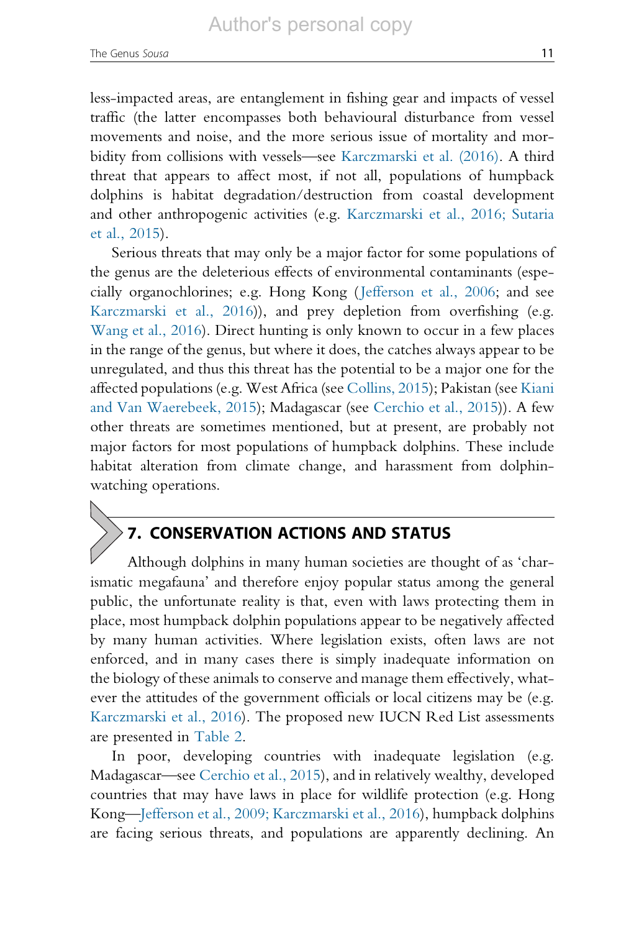less-impacted areas, are entanglement in fishing gear and impacts of vessel traffic (the latter encompasses both behavioural disturbance from vessel movements and noise, and the more serious issue of mortality and morbidity from collisions with vessels—see [Karczmarski et al. \(2016\)](#page-15-0). A third threat that appears to affect most, if not all, populations of humpback dolphins is habitat degradation/destruction from coastal development and other anthropogenic activities (e.g. [Karczmarski et al., 2016; Sutaria](#page-15-0) et [al., 2015](#page-15-0)).

Serious threats that may only be a major factor for some populations of the genus are the deleterious effects of environmental contaminants (especially organochlorines; e.g. Hong Kong ([Jefferson et al., 2006;](#page-14-0) and see [Karczmarski et al., 2016](#page-15-0))), and prey depletion from overfishing (e.g. [Wang et al., 2016](#page-16-0)). Direct hunting is only known to occur in a few places in the range of the genus, but where it does, the catches always appear to be unregulated, and thus this threat has the potential to be a major one for the affected populations (e.g. West Africa (see [Collins, 2015](#page-14-0)); Pakistan (see [Kiani](#page-15-0) and [Van Waerebeek, 2015\)](#page-15-0); Madagascar (see [Cerchio et al., 2015\)](#page-13-0)). A few other threats are sometimes mentioned, but at present, are probably not major factors for most populations of humpback dolphins. These include habitat alteration from climate change, and harassment from dolphinwatching operations.

# 7. CONSERVATION ACTIONS AND STATUS

Although dolphins in many human societies are thought of as 'charismatic megafauna' and therefore enjoy popular status among the general public, the unfortunate reality is that, even with laws protecting them in place, most humpback dolphin populations appear to be negatively affected by many human activities. Where legislation exists, often laws are not enforced, and in many cases there is simply inadequate information on the biology of these animals to conserve and manage them effectively, whatever the attitudes of the government officials or local citizens may be (e.g. [Karczmarski et al., 2016](#page-15-0)). The proposed new IUCN Red List assessments are presented in [Table 2](#page-12-0).

In poor, developing countries with inadequate legislation (e.g. Madagascar—see [Cerchio et al., 2015](#page-13-0)), and in relatively wealthy, developed countries that may have laws in place for wildlife protection (e.g. Hong Kong—[Jefferson et al., 2009; Karczmarski et al., 2016](#page-14-0)), humpback dolphins are facing serious threats, and populations are apparently declining. An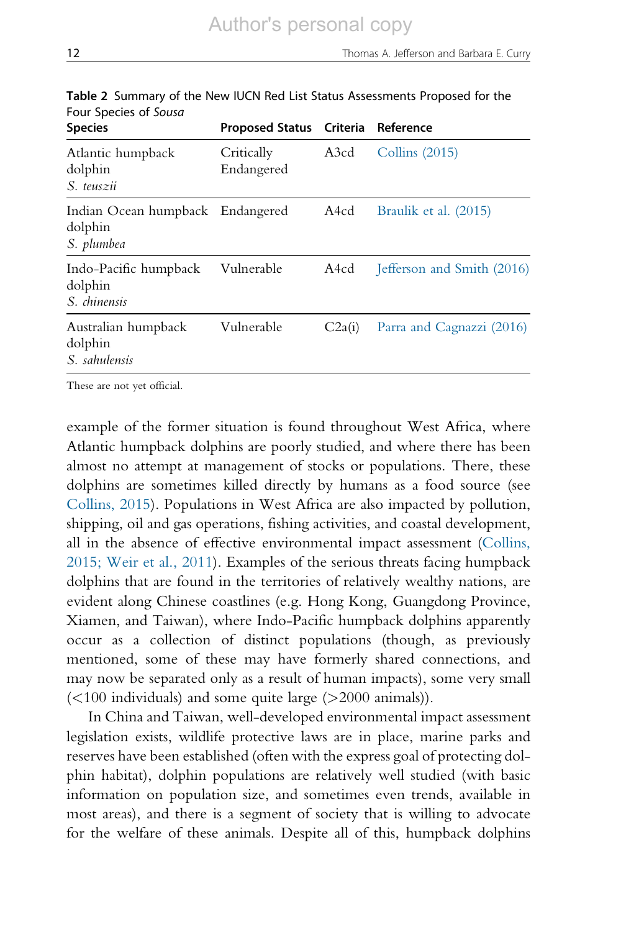| <b>Species</b>                                            | Proposed Status Criteria |        | Reference                  |
|-----------------------------------------------------------|--------------------------|--------|----------------------------|
| Atlantic humpback<br>dolphin<br>S. teuszii                | Critically<br>Endangered | A3cd   | Collins $(2015)$           |
| Indian Ocean humpback Endangered<br>dolphin<br>S. plumbea |                          | A4cd   | Braulik et al. (2015)      |
| Indo-Pacific humpback<br>dolphin<br>S. chinensis          | Vulnerable               | A4cd   | Jefferson and Smith (2016) |
| Australian humpback<br>dolphin<br>S. sahulensis           | Vulnerable               | C2a(i) | Parra and Cagnazzi (2016)  |
|                                                           |                          |        |                            |

<span id="page-12-0"></span>Table 2 Summary of the New IUCN Red List Status Assessments Proposed for the Four Species of Sousa

These are not yet official.

example of the former situation is found throughout West Africa, where Atlantic humpback dolphins are poorly studied, and where there has been almost no attempt at management of stocks or populations. There, these dolphins are sometimes killed directly by humans as a food source (see [Collins, 2015\)](#page-14-0). Populations in West Africa are also impacted by pollution, shipping, oil and gas operations, fishing activities, and coastal development, all in the absence of effective environmental impact assessment [\(Collins,](#page-14-0) 2015; [Weir et al., 2011](#page-14-0)). Examples of the serious threats facing humpback dolphins that are found in the territories of relatively wealthy nations, are evident along Chinese coastlines (e.g. Hong Kong, Guangdong Province, Xiamen, and Taiwan), where Indo-Pacific humpback dolphins apparently occur as a collection of distinct populations (though, as previously mentioned, some of these may have formerly shared connections, and may now be separated only as a result of human impacts), some very small  $\left($  < 100 individuals) and some quite large ( $\geq$  2000 animals)).

In China and Taiwan, well-developed environmental impact assessment legislation exists, wildlife protective laws are in place, marine parks and reserves have been established (often with the express goal of protecting dolphin habitat), dolphin populations are relatively well studied (with basic information on population size, and sometimes even trends, available in most areas), and there is a segment of society that is willing to advocate for the welfare of these animals. Despite all of this, humpback dolphins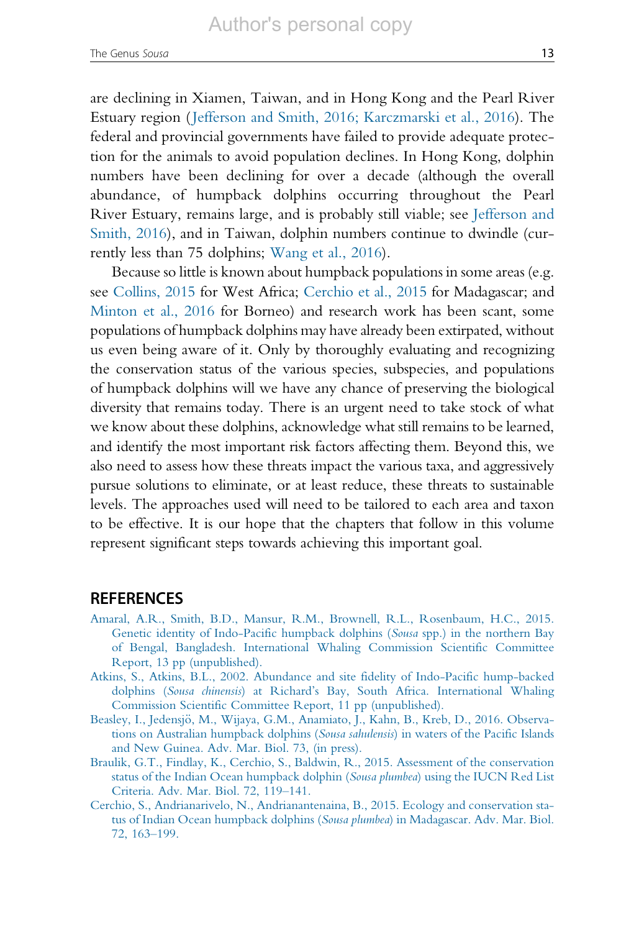<span id="page-13-0"></span>are declining in Xiamen, Taiwan, and in Hong Kong and the Pearl River Estuary region ([Jefferson and Smith, 2016; Karczmarski et al., 2016](#page-14-0)). The federal and provincial governments have failed to provide adequate protection for the animals to avoid population declines. In Hong Kong, dolphin numbers have been declining for over a decade (although the overall abundance, of humpback dolphins occurring throughout the Pearl River Estuary, remains large, and is probably still viable; see [Jefferson and](#page-14-0) [Smith,](#page-14-0) 2016), and in Taiwan, dolphin numbers continue to dwindle (currently less than 75 dolphins; [Wang et al., 2016\)](#page-16-0).

Because so little is known about humpback populations in some areas (e.g. see [Collins, 2015](#page-14-0) for West Africa; Cerchio et al., 2015 for Madagascar; and [Minton et al., 2016](#page-15-0) for Borneo) and research work has been scant, some populations of humpback dolphins may have already been extirpated, without us even being aware of it. Only by thoroughly evaluating and recognizing the conservation status of the various species, subspecies, and populations of humpback dolphins will we have any chance of preserving the biological diversity that remains today. There is an urgent need to take stock of what we know about these dolphins, acknowledge what still remains to be learned, and identify the most important risk factors affecting them. Beyond this, we also need to assess how these threats impact the various taxa, and aggressively pursue solutions to eliminate, or at least reduce, these threats to sustainable levels. The approaches used will need to be tailored to each area and taxon to be effective. It is our hope that the chapters that follow in this volume represent significant steps towards achieving this important goal.

#### **REFERENCES**

- [Amaral, A.R., Smith, B.D., Mansur, R.M., Brownell, R.L., Rosenbaum, H.C., 2015.](http://refhub.elsevier.com/S0065-2881(15)00002-4/rf0005) [Genetic identity of Indo-Pacific humpback dolphins \(](http://refhub.elsevier.com/S0065-2881(15)00002-4/rf0005)Sousa spp.) in the northern Bay [of Bengal, Bangladesh. International Whaling Commission Scientific Committee](http://refhub.elsevier.com/S0065-2881(15)00002-4/rf0005) [Report, 13 pp \(unpublished\).](http://refhub.elsevier.com/S0065-2881(15)00002-4/rf0005)
- [Atkins, S., Atkins, B.L., 2002. Abundance and site fidelity of Indo-Pacific hump-backed](http://refhub.elsevier.com/S0065-2881(15)00002-4/rf0010) dolphins (Sousa chinensis[\) at Richard's Bay, South Africa. International Whaling](http://refhub.elsevier.com/S0065-2881(15)00002-4/rf0010) [Commission Scientific Committee Report, 11 pp \(unpublished\).](http://refhub.elsevier.com/S0065-2881(15)00002-4/rf0010)
- Beasley, I., Jedensjö, M., Wijaya, G.M., Anamiato, J., Kahn, B., Kreb, D., 2016. Observa[tions on Australian humpback dolphins \(](http://refhub.elsevier.com/S0065-2881(15)00002-4/rf9005)Sousa sahulensis) in waters of the Pacific Islands [and New Guinea. Adv. Mar. Biol. 73, \(in press\).](http://refhub.elsevier.com/S0065-2881(15)00002-4/rf9005)
- [Braulik, G.T., Findlay, K., Cerchio, S., Baldwin, R., 2015. Assessment of the conservation](http://refhub.elsevier.com/S0065-2881(15)00002-4/rf9010) [status of the Indian Ocean humpback dolphin \(](http://refhub.elsevier.com/S0065-2881(15)00002-4/rf9010)Sousa plumbea) using the IUCN Red List [Criteria. Adv. Mar. Biol. 72, 119](http://refhub.elsevier.com/S0065-2881(15)00002-4/rf9010)–141.
- [Cerchio, S., Andrianarivelo, N., Andrianantenaina, B., 2015. Ecology and conservation sta](http://refhub.elsevier.com/S0065-2881(15)00002-4/rf9015)[tus of Indian Ocean humpback dolphins \(](http://refhub.elsevier.com/S0065-2881(15)00002-4/rf9015)Sousa plumbea) in Madagascar. Adv. Mar. Biol. [72, 163](http://refhub.elsevier.com/S0065-2881(15)00002-4/rf9015)–199.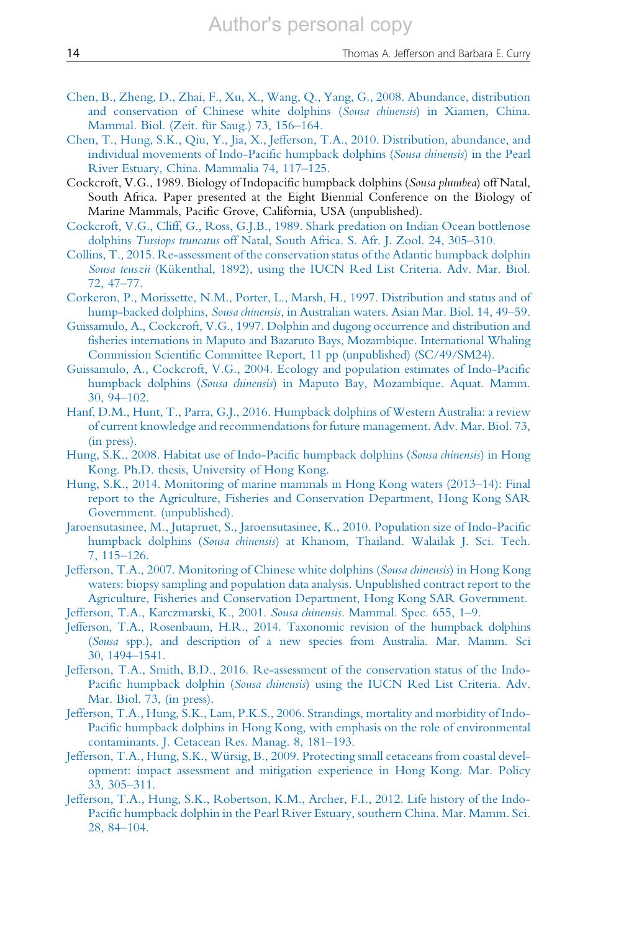- <span id="page-14-0"></span>[Chen, B., Zheng, D., Zhai, F., Xu, X., Wang, Q., Yang, G., 2008. Abundance, distribution](http://refhub.elsevier.com/S0065-2881(15)00002-4/rf0015) [and conservation of Chinese white dolphins \(](http://refhub.elsevier.com/S0065-2881(15)00002-4/rf0015)Sousa chinensis) in Xiamen, China. Mammal. Biol. (Zeit. für Saug.) 73, 156–164.
- [Chen, T., Hung, S.K., Qiu, Y., Jia, X., Jefferson, T.A., 2010. Distribution, abundance, and](http://refhub.elsevier.com/S0065-2881(15)00002-4/rf0020) [individual movements of Indo-Pacific humpback dolphins \(](http://refhub.elsevier.com/S0065-2881(15)00002-4/rf0020)Sousa chinensis) in the Pearl [River Estuary, China. Mammalia 74, 117](http://refhub.elsevier.com/S0065-2881(15)00002-4/rf0020)–125.
- Cockcroft, V.G., 1989. Biology of Indopacific humpback dolphins (Sousa plumbea) off Natal, South Africa. Paper presented at the Eight Biennial Conference on the Biology of Marine Mammals, Pacific Grove, California, USA (unpublished).
- [Cockcroft, V.G., Cliff, G., Ross, G.J.B., 1989. Shark predation on Indian Ocean bottlenose](http://refhub.elsevier.com/S0065-2881(15)00002-4/rf0025) dolphins Tursiops truncatus [off Natal, South Africa. S. Afr. J. Zool. 24, 305](http://refhub.elsevier.com/S0065-2881(15)00002-4/rf0025)–310.
- [Collins, T., 2015. Re-assessment of the conservation status of the Atlantic humpback dolphin](http://refhub.elsevier.com/S0065-2881(15)00002-4/rf9020) Sousa teuszii (Kükenthal, 1892), using the IUCN Red List Criteria. Adv. Mar. Biol. [72, 47](http://refhub.elsevier.com/S0065-2881(15)00002-4/rf9020)–77.
- [Corkeron, P., Morissette, N.M., Porter, L., Marsh, H., 1997. Distribution and status and of](http://refhub.elsevier.com/S0065-2881(15)00002-4/rf0030) hump-backed dolphins, Sousa chinensis[, in Australian waters. Asian Mar. Biol. 14, 49](http://refhub.elsevier.com/S0065-2881(15)00002-4/rf0030)–59.
- [Guissamulo, A., Cockcroft, V.G., 1997. Dolphin and dugong occurrence and distribution and](http://refhub.elsevier.com/S0065-2881(15)00002-4/rf0035) [fisheries internations in Maputo and Bazaruto Bays, Mozambique. International Whaling](http://refhub.elsevier.com/S0065-2881(15)00002-4/rf0035) [Commission Scientific Committee Report, 11 pp \(unpublished\) \(SC/49/SM24\).](http://refhub.elsevier.com/S0065-2881(15)00002-4/rf0035)
- [Guissamulo, A., Cockcroft, V.G., 2004. Ecology and population estimates of Indo-Pacific](http://refhub.elsevier.com/S0065-2881(15)00002-4/rf0040) humpback dolphins (Sousa chinensis[\) in Maputo Bay, Mozambique. Aquat. Mamm.](http://refhub.elsevier.com/S0065-2881(15)00002-4/rf0040) [30, 94](http://refhub.elsevier.com/S0065-2881(15)00002-4/rf0040)–102.
- [Hanf, D.M., Hunt, T., Parra, G.J., 2016. Humpback dolphins of Western Australia: a review](http://refhub.elsevier.com/S0065-2881(15)00002-4/rf9025) [of current knowledge and recommendations for future management. Adv. Mar. Biol. 73,](http://refhub.elsevier.com/S0065-2881(15)00002-4/rf9025) [\(in press\).](http://refhub.elsevier.com/S0065-2881(15)00002-4/rf9025)
- [Hung, S.K., 2008. Habitat use of Indo-Pacific humpback dolphins \(](http://refhub.elsevier.com/S0065-2881(15)00002-4/rf0045)Sousa chinensis) in Hong [Kong. Ph.D. thesis, University of Hong Kong.](http://refhub.elsevier.com/S0065-2881(15)00002-4/rf0045)
- [Hung, S.K., 2014. Monitoring of marine mammals in Hong Kong waters \(2013](http://refhub.elsevier.com/S0065-2881(15)00002-4/rf0050)–14): Final [report to the Agriculture, Fisheries and Conservation Department, Hong Kong SAR](http://refhub.elsevier.com/S0065-2881(15)00002-4/rf0050) [Government. \(unpublished\).](http://refhub.elsevier.com/S0065-2881(15)00002-4/rf0050)
- [Jaroensutasinee, M., Jutapruet, S., Jaroensutasinee, K., 2010. Population size of Indo-Pacific](http://refhub.elsevier.com/S0065-2881(15)00002-4/rf0055) humpback dolphins (Sousa chinensis[\) at Khanom, Thailand. Walailak J. Sci. Tech.](http://refhub.elsevier.com/S0065-2881(15)00002-4/rf0055) [7, 115](http://refhub.elsevier.com/S0065-2881(15)00002-4/rf0055)–126.
- [Jefferson, T.A., 2007. Monitoring of Chinese white dolphins \(](http://refhub.elsevier.com/S0065-2881(15)00002-4/rf0060)Sousa chinensis) in Hong Kong [waters: biopsy sampling and population data analysis. Unpublished contract report to the](http://refhub.elsevier.com/S0065-2881(15)00002-4/rf0060) [Agriculture, Fisheries and Conservation Department, Hong Kong SAR Government.](http://refhub.elsevier.com/S0065-2881(15)00002-4/rf0060)
- [Jefferson, T.A., Karczmarski, K., 2001.](http://refhub.elsevier.com/S0065-2881(15)00002-4/rf0065) Sousa chinensis. Mammal. Spec. 655, 1–9.
- [Jefferson, T.A., Rosenbaum, H.R., 2014. Taxonomic revision of the humpback dolphins](http://refhub.elsevier.com/S0065-2881(15)00002-4/rf0070) (Sousa [spp.\), and description of a new species from Australia. Mar. Mamm. Sci](http://refhub.elsevier.com/S0065-2881(15)00002-4/rf0070) [30, 1494](http://refhub.elsevier.com/S0065-2881(15)00002-4/rf0070)–1541.
- [Jefferson, T.A., Smith, B.D., 2016. Re-assessment of the conservation status of the Indo-](http://refhub.elsevier.com/S0065-2881(15)00002-4/rf9030)Pacific humpback dolphin (Sousa chinensis[\) using the IUCN Red List Criteria. Adv.](http://refhub.elsevier.com/S0065-2881(15)00002-4/rf9030) [Mar. Biol. 73, \(in press\).](http://refhub.elsevier.com/S0065-2881(15)00002-4/rf9030)
- [Jefferson, T.A., Hung, S.K., Lam, P.K.S., 2006. Strandings, mortality and morbidity of Indo-](http://refhub.elsevier.com/S0065-2881(15)00002-4/rf0075)[Pacific humpback dolphins in Hong Kong, with emphasis on the role of environmental](http://refhub.elsevier.com/S0065-2881(15)00002-4/rf0075) [contaminants. J. Cetacean Res. Manag. 8, 181](http://refhub.elsevier.com/S0065-2881(15)00002-4/rf0075)–193.
- Jefferson, T.A., Hung, S.K., Würsig, B., 2009. Protecting small cetaceans from coastal devel[opment: impact assessment and mitigation experience in Hong Kong. Mar. Policy](http://refhub.elsevier.com/S0065-2881(15)00002-4/rf0080) [33, 305](http://refhub.elsevier.com/S0065-2881(15)00002-4/rf0080)–311.
- [Jefferson, T.A., Hung, S.K., Robertson, K.M., Archer, F.I., 2012. Life history of the Indo-](http://refhub.elsevier.com/S0065-2881(15)00002-4/rf0085)[Pacific humpback dolphin in the Pearl River Estuary, southern China. Mar. Mamm. Sci.](http://refhub.elsevier.com/S0065-2881(15)00002-4/rf0085) [28, 84](http://refhub.elsevier.com/S0065-2881(15)00002-4/rf0085)–104.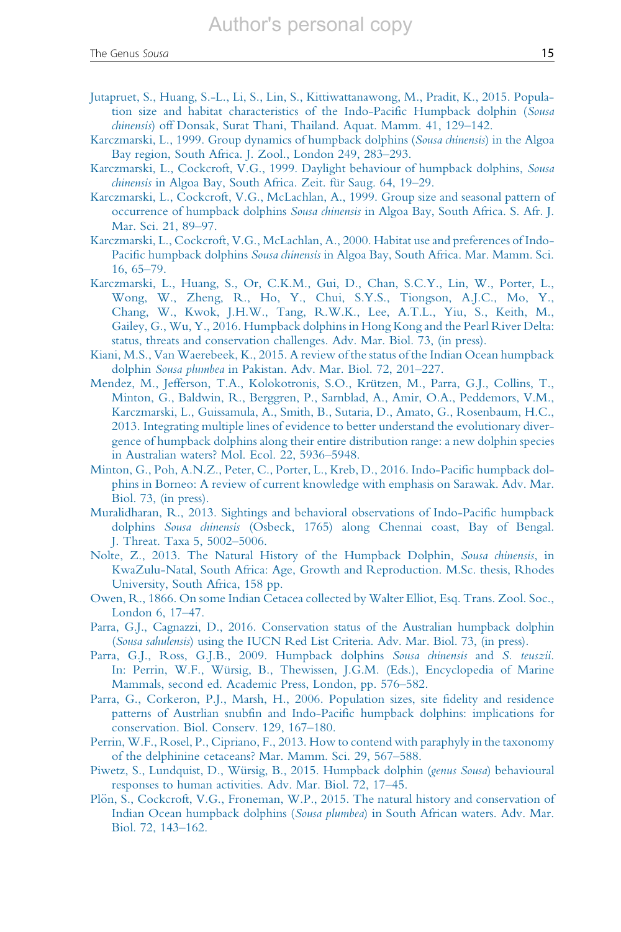- <span id="page-15-0"></span>[Jutapruet, S., Huang, S.-L., Li, S., Lin, S., Kittiwattanawong, M., Pradit, K., 2015. Popula](http://refhub.elsevier.com/S0065-2881(15)00002-4/rf0090)[tion size and habitat characteristics of the Indo-Pacific Humpback dolphin \(](http://refhub.elsevier.com/S0065-2881(15)00002-4/rf0090)Sousa chinensis[\) off Donsak, Surat Thani, Thailand. Aquat. Mamm. 41, 129](http://refhub.elsevier.com/S0065-2881(15)00002-4/rf0090)–142.
- [Karczmarski, L., 1999. Group dynamics of humpback dolphins \(](http://refhub.elsevier.com/S0065-2881(15)00002-4/rf0095)Sousa chinensis) in the Algoa [Bay region, South Africa. J. Zool., London 249, 283](http://refhub.elsevier.com/S0065-2881(15)00002-4/rf0095)–293.
- [Karczmarski, L., Cockcroft, V.G., 1999. Daylight behaviour of humpback dolphins,](http://refhub.elsevier.com/S0065-2881(15)00002-4/rf0100) Sousa chinensis in Algoa Bay, South Africa. Zeit. für Saug. 64, 19–29.
- [Karczmarski, L., Cockcroft, V.G., McLachlan, A., 1999. Group size and seasonal pattern of](http://refhub.elsevier.com/S0065-2881(15)00002-4/rf0105) occurrence of humpback dolphins Sousa chinensis [in Algoa Bay, South Africa. S. Afr. J.](http://refhub.elsevier.com/S0065-2881(15)00002-4/rf0105) [Mar. Sci. 21, 89](http://refhub.elsevier.com/S0065-2881(15)00002-4/rf0105)–97.
- [Karczmarski, L., Cockcroft, V.G., McLachlan, A., 2000. Habitat use and preferences of Indo-](http://refhub.elsevier.com/S0065-2881(15)00002-4/rf0110)Pacific humpback dolphins Sousa chinensis [in Algoa Bay, South Africa. Mar. Mamm. Sci.](http://refhub.elsevier.com/S0065-2881(15)00002-4/rf0110) [16, 65](http://refhub.elsevier.com/S0065-2881(15)00002-4/rf0110)–79.
- [Karczmarski, L., Huang, S., Or, C.K.M., Gui, D., Chan, S.C.Y., Lin, W., Porter, L.,](http://refhub.elsevier.com/S0065-2881(15)00002-4/rf9035) [Wong, W., Zheng, R., Ho, Y., Chui, S.Y.S., Tiongson, A.J.C., Mo, Y.,](http://refhub.elsevier.com/S0065-2881(15)00002-4/rf9035) [Chang, W., Kwok, J.H.W., Tang, R.W.K., Lee, A.T.L., Yiu, S., Keith, M.,](http://refhub.elsevier.com/S0065-2881(15)00002-4/rf9035) [Gailey, G., Wu, Y., 2016. Humpback dolphins in Hong Kong and the Pearl River Delta:](http://refhub.elsevier.com/S0065-2881(15)00002-4/rf9035) [status, threats and conservation challenges. Adv. Mar. Biol. 73, \(in press\).](http://refhub.elsevier.com/S0065-2881(15)00002-4/rf9035)
- [Kiani, M.S., Van Waerebeek, K., 2015. A review of the status of the Indian Ocean humpback](http://refhub.elsevier.com/S0065-2881(15)00002-4/rf9040) dolphin Sousa plumbea [in Pakistan. Adv. Mar. Biol. 72, 201](http://refhub.elsevier.com/S0065-2881(15)00002-4/rf9040)–227.
- Mendez, M., Jefferson, T.A., Kolokotronis, S.O., Krützen, M., Parra, G.J., Collins, T., [Minton, G., Baldwin, R., Berggren, P., Sarnblad, A., Amir, O.A., Peddemors, V.M.,](http://refhub.elsevier.com/S0065-2881(15)00002-4/rf0115) [Karczmarski, L., Guissamula, A., Smith, B., Sutaria, D., Amato, G., Rosenbaum, H.C.,](http://refhub.elsevier.com/S0065-2881(15)00002-4/rf0115) [2013. Integrating multiple lines of evidence to better understand the evolutionary diver](http://refhub.elsevier.com/S0065-2881(15)00002-4/rf0115)[gence of humpback dolphins along their entire distribution range: a new dolphin species](http://refhub.elsevier.com/S0065-2881(15)00002-4/rf0115) [in Australian waters? Mol. Ecol. 22, 5936](http://refhub.elsevier.com/S0065-2881(15)00002-4/rf0115)–5948.
- [Minton, G., Poh, A.N.Z., Peter, C., Porter, L., Kreb, D., 2016. Indo-Pacific humpback dol](http://refhub.elsevier.com/S0065-2881(15)00002-4/rf9045)[phins in Borneo: A review of current knowledge with emphasis on Sarawak. Adv. Mar.](http://refhub.elsevier.com/S0065-2881(15)00002-4/rf9045) [Biol. 73, \(in press\).](http://refhub.elsevier.com/S0065-2881(15)00002-4/rf9045)
- [Muralidharan, R., 2013. Sightings and behavioral observations of Indo-Pacific humpback](http://refhub.elsevier.com/S0065-2881(15)00002-4/rf0120) dolphins Sousa chinensis [\(Osbeck, 1765\) along Chennai coast, Bay of Bengal.](http://refhub.elsevier.com/S0065-2881(15)00002-4/rf0120) [J. Threat. Taxa 5, 5002](http://refhub.elsevier.com/S0065-2881(15)00002-4/rf0120)–5006.
- [Nolte, Z., 2013. The Natural History of the Humpback Dolphin,](http://refhub.elsevier.com/S0065-2881(15)00002-4/rf0125) Sousa chinensis, in [KwaZulu-Natal, South Africa: Age, Growth and Reproduction. M.Sc. thesis, Rhodes](http://refhub.elsevier.com/S0065-2881(15)00002-4/rf0125) [University, South Africa, 158 pp.](http://refhub.elsevier.com/S0065-2881(15)00002-4/rf0125)
- [Owen, R., 1866. On some Indian Cetacea collected by Walter Elliot, Esq. Trans. Zool. Soc.,](http://refhub.elsevier.com/S0065-2881(15)00002-4/rf0130) [London 6, 17](http://refhub.elsevier.com/S0065-2881(15)00002-4/rf0130)–47.
- [Parra, G.J., Cagnazzi, D., 2016. Conservation status of the Australian humpback dolphin](http://refhub.elsevier.com/S0065-2881(15)00002-4/rf9050) (Sousa sahulensis[\) using the IUCN Red List Criteria. Adv. Mar. Biol. 73, \(in press\).](http://refhub.elsevier.com/S0065-2881(15)00002-4/rf9050)
- [Parra, G.J., Ross, G.J.B., 2009. Humpback dolphins](http://refhub.elsevier.com/S0065-2881(15)00002-4/rf0135) Sousa chinensis and S. teuszii. In: Perrin, W.F., Würsig, B., Thewissen, J.G.M. (Eds.), Encyclopedia of Marine [Mammals, second ed. Academic Press, London, pp. 576](http://refhub.elsevier.com/S0065-2881(15)00002-4/rf0135)–582.
- [Parra, G., Corkeron, P.J., Marsh, H., 2006. Population sizes, site fidelity and residence](http://refhub.elsevier.com/S0065-2881(15)00002-4/rf0140) [patterns of Austrlian snubfin and Indo-Pacific humpback dolphins: implications for](http://refhub.elsevier.com/S0065-2881(15)00002-4/rf0140) [conservation. Biol. Conserv. 129, 167](http://refhub.elsevier.com/S0065-2881(15)00002-4/rf0140)–180.
- [Perrin, W.F., Rosel, P., Cipriano, F., 2013. How to contend with paraphyly in the taxonomy](http://refhub.elsevier.com/S0065-2881(15)00002-4/rf0145) [of the delphinine cetaceans? Mar. Mamm. Sci. 29, 567](http://refhub.elsevier.com/S0065-2881(15)00002-4/rf0145)–588.
- Piwetz, S., Lundquist, D., Würsig, B., 2015. Humpback dolphin (genus Sousa) behavioural [responses to human activities. Adv. Mar. Biol. 72, 17](http://refhub.elsevier.com/S0065-2881(15)00002-4/rf9055)–45.
- [Pl](http://refhub.elsevier.com/S0065-2881(15)00002-4/rf9060)ön, [S., Cockcroft, V.G., Froneman, W.P., 2015. The natural history and conservation of](http://refhub.elsevier.com/S0065-2881(15)00002-4/rf9060) Indian Ocean humpback dolphins (Sousa plumbea[\) in South African waters. Adv. Mar.](http://refhub.elsevier.com/S0065-2881(15)00002-4/rf9060) [Biol. 72, 143](http://refhub.elsevier.com/S0065-2881(15)00002-4/rf9060)–162.